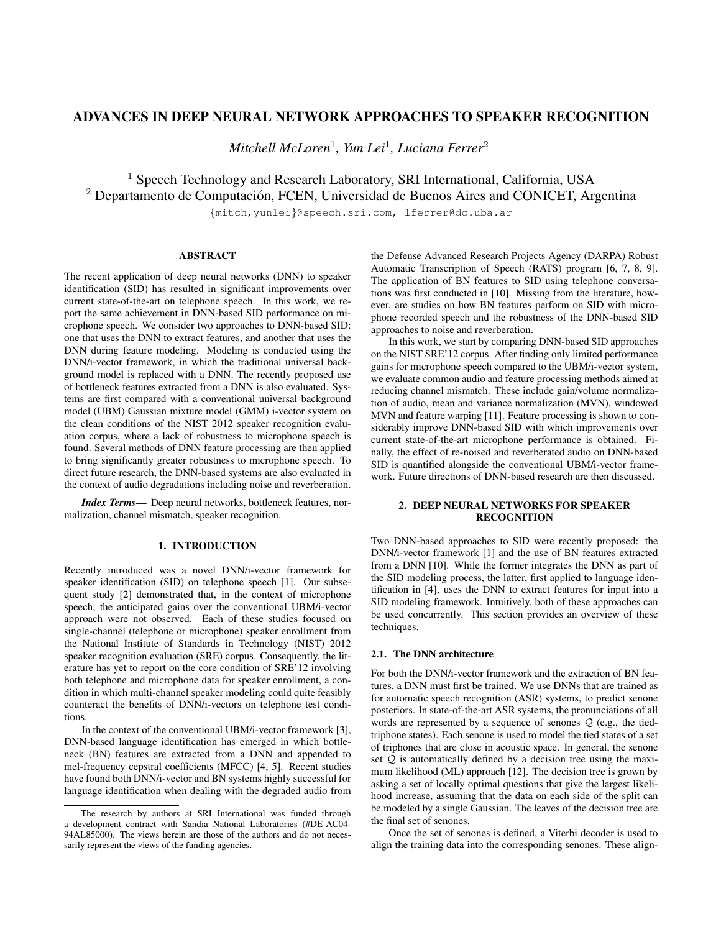# ADVANCES IN DEEP NEURAL NETWORK APPROACHES TO SPEAKER RECOGNITION

*Mitchell McLaren*<sup>1</sup> *, Yun Lei*<sup>1</sup> *, Luciana Ferrer*<sup>2</sup>

<sup>1</sup> Speech Technology and Research Laboratory, SRI International, California, USA <sup>2</sup> Departamento de Computación, FCEN, Universidad de Buenos Aires and CONICET, Argentina

{mitch,yunlei}@speech.sri.com, lferrer@dc.uba.ar

# ABSTRACT

The recent application of deep neural networks (DNN) to speaker identification (SID) has resulted in significant improvements over current state-of-the-art on telephone speech. In this work, we report the same achievement in DNN-based SID performance on microphone speech. We consider two approaches to DNN-based SID: one that uses the DNN to extract features, and another that uses the DNN during feature modeling. Modeling is conducted using the DNN/i-vector framework, in which the traditional universal background model is replaced with a DNN. The recently proposed use of bottleneck features extracted from a DNN is also evaluated. Systems are first compared with a conventional universal background model (UBM) Gaussian mixture model (GMM) i-vector system on the clean conditions of the NIST 2012 speaker recognition evaluation corpus, where a lack of robustness to microphone speech is found. Several methods of DNN feature processing are then applied to bring significantly greater robustness to microphone speech. To direct future research, the DNN-based systems are also evaluated in the context of audio degradations including noise and reverberation.

*Index Terms*— Deep neural networks, bottleneck features, normalization, channel mismatch, speaker recognition.

## 1. INTRODUCTION

Recently introduced was a novel DNN/i-vector framework for speaker identification (SID) on telephone speech [1]. Our subsequent study [2] demonstrated that, in the context of microphone speech, the anticipated gains over the conventional UBM/i-vector approach were not observed. Each of these studies focused on single-channel (telephone or microphone) speaker enrollment from the National Institute of Standards in Technology (NIST) 2012 speaker recognition evaluation (SRE) corpus. Consequently, the literature has yet to report on the core condition of SRE'12 involving both telephone and microphone data for speaker enrollment, a condition in which multi-channel speaker modeling could quite feasibly counteract the benefits of DNN/i-vectors on telephone test conditions.

In the context of the conventional UBM/i-vector framework [3], DNN-based language identification has emerged in which bottleneck (BN) features are extracted from a DNN and appended to mel-frequency cepstral coefficients (MFCC) [4, 5]. Recent studies have found both DNN/i-vector and BN systems highly successful for language identification when dealing with the degraded audio from the Defense Advanced Research Projects Agency (DARPA) Robust Automatic Transcription of Speech (RATS) program [6, 7, 8, 9]. The application of BN features to SID using telephone conversations was first conducted in [10]. Missing from the literature, however, are studies on how BN features perform on SID with microphone recorded speech and the robustness of the DNN-based SID approaches to noise and reverberation.

In this work, we start by comparing DNN-based SID approaches on the NIST SRE'12 corpus. After finding only limited performance gains for microphone speech compared to the UBM/i-vector system, we evaluate common audio and feature processing methods aimed at reducing channel mismatch. These include gain/volume normalization of audio, mean and variance normalization (MVN), windowed MVN and feature warping [11]. Feature processing is shown to considerably improve DNN-based SID with which improvements over current state-of-the-art microphone performance is obtained. Finally, the effect of re-noised and reverberated audio on DNN-based SID is quantified alongside the conventional UBM/i-vector framework. Future directions of DNN-based research are then discussed.

# 2. DEEP NEURAL NETWORKS FOR SPEAKER RECOGNITION

Two DNN-based approaches to SID were recently proposed: the DNN/i-vector framework [1] and the use of BN features extracted from a DNN [10]. While the former integrates the DNN as part of the SID modeling process, the latter, first applied to language identification in [4], uses the DNN to extract features for input into a SID modeling framework. Intuitively, both of these approaches can be used concurrently. This section provides an overview of these techniques.

### 2.1. The DNN architecture

For both the DNN/i-vector framework and the extraction of BN features, a DNN must first be trained. We use DNNs that are trained as for automatic speech recognition (ASR) systems, to predict senone posteriors. In state-of-the-art ASR systems, the pronunciations of all words are represented by a sequence of senones  $Q$  (e.g., the tiedtriphone states). Each senone is used to model the tied states of a set of triphones that are close in acoustic space. In general, the senone set  $Q$  is automatically defined by a decision tree using the maximum likelihood (ML) approach [12]. The decision tree is grown by asking a set of locally optimal questions that give the largest likelihood increase, assuming that the data on each side of the split can be modeled by a single Gaussian. The leaves of the decision tree are the final set of senones.

Once the set of senones is defined, a Viterbi decoder is used to align the training data into the corresponding senones. These align-

The research by authors at SRI International was funded through a development contract with Sandia National Laboratories (#DE-AC04- 94AL85000). The views herein are those of the authors and do not necessarily represent the views of the funding agencies.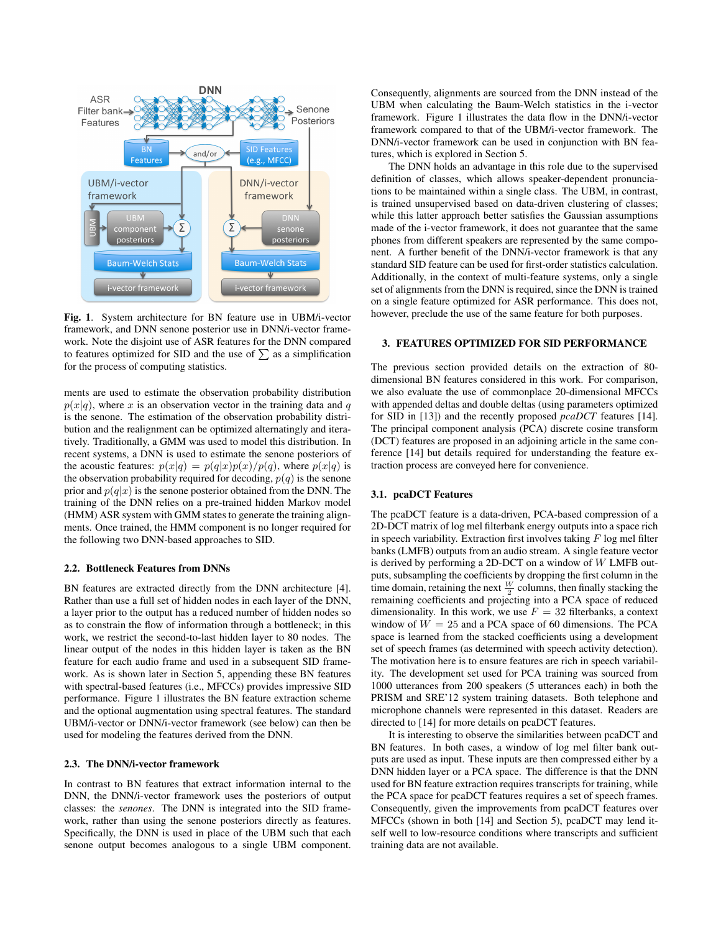

Fig. 1. System architecture for BN feature use in UBM/i-vector framework, and DNN senone posterior use in DNN/i-vector framework. Note the disjoint use of ASR features for the DNN compared to features optimized for SID and the use of  $\sum$  as a simplification for the process of computing statistics.

ments are used to estimate the observation probability distribution  $p(x|q)$ , where x is an observation vector in the training data and q is the senone. The estimation of the observation probability distribution and the realignment can be optimized alternatingly and iteratively. Traditionally, a GMM was used to model this distribution. In recent systems, a DNN is used to estimate the senone posteriors of the acoustic features:  $p(x|q) = p(q|x)p(x)/p(q)$ , where  $p(x|q)$  is the observation probability required for decoding,  $p(q)$  is the senone prior and  $p(q|x)$  is the senone posterior obtained from the DNN. The training of the DNN relies on a pre-trained hidden Markov model (HMM) ASR system with GMM states to generate the training alignments. Once trained, the HMM component is no longer required for the following two DNN-based approaches to SID.

### 2.2. Bottleneck Features from DNNs

BN features are extracted directly from the DNN architecture [4]. Rather than use a full set of hidden nodes in each layer of the DNN, a layer prior to the output has a reduced number of hidden nodes so as to constrain the flow of information through a bottleneck; in this work, we restrict the second-to-last hidden layer to 80 nodes. The linear output of the nodes in this hidden layer is taken as the BN feature for each audio frame and used in a subsequent SID framework. As is shown later in Section 5, appending these BN features with spectral-based features (i.e., MFCCs) provides impressive SID performance. Figure 1 illustrates the BN feature extraction scheme and the optional augmentation using spectral features. The standard UBM/i-vector or DNN/i-vector framework (see below) can then be used for modeling the features derived from the DNN.

# 2.3. The DNN/i-vector framework

In contrast to BN features that extract information internal to the DNN, the DNN/i-vector framework uses the posteriors of output classes: the *senones*. The DNN is integrated into the SID framework, rather than using the senone posteriors directly as features. Specifically, the DNN is used in place of the UBM such that each senone output becomes analogous to a single UBM component.

Consequently, alignments are sourced from the DNN instead of the UBM when calculating the Baum-Welch statistics in the i-vector framework. Figure 1 illustrates the data flow in the DNN/i-vector framework compared to that of the UBM/i-vector framework. The DNN/i-vector framework can be used in conjunction with BN features, which is explored in Section 5.

The DNN holds an advantage in this role due to the supervised definition of classes, which allows speaker-dependent pronunciations to be maintained within a single class. The UBM, in contrast, is trained unsupervised based on data-driven clustering of classes; while this latter approach better satisfies the Gaussian assumptions made of the i-vector framework, it does not guarantee that the same phones from different speakers are represented by the same component. A further benefit of the DNN/i-vector framework is that any standard SID feature can be used for first-order statistics calculation. Additionally, in the context of multi-feature systems, only a single set of alignments from the DNN is required, since the DNN is trained on a single feature optimized for ASR performance. This does not, however, preclude the use of the same feature for both purposes.

### 3. FEATURES OPTIMIZED FOR SID PERFORMANCE

The previous section provided details on the extraction of 80 dimensional BN features considered in this work. For comparison, we also evaluate the use of commonplace 20-dimensional MFCCs with appended deltas and double deltas (using parameters optimized for SID in [13]) and the recently proposed *pcaDCT* features [14]. The principal component analysis (PCA) discrete cosine transform (DCT) features are proposed in an adjoining article in the same conference [14] but details required for understanding the feature extraction process are conveyed here for convenience.

#### 3.1. pcaDCT Features

The pcaDCT feature is a data-driven, PCA-based compression of a 2D-DCT matrix of log mel filterbank energy outputs into a space rich in speech variability. Extraction first involves taking  $F$  log mel filter banks (LMFB) outputs from an audio stream. A single feature vector is derived by performing a 2D-DCT on a window of W LMFB outputs, subsampling the coefficients by dropping the first column in the time domain, retaining the next  $\frac{W}{2}$  columns, then finally stacking the remaining coefficients and projecting into a PCA space of reduced dimensionality. In this work, we use  $F = 32$  filterbanks, a context window of  $W = 25$  and a PCA space of 60 dimensions. The PCA space is learned from the stacked coefficients using a development set of speech frames (as determined with speech activity detection). The motivation here is to ensure features are rich in speech variability. The development set used for PCA training was sourced from 1000 utterances from 200 speakers (5 utterances each) in both the PRISM and SRE'12 system training datasets. Both telephone and microphone channels were represented in this dataset. Readers are directed to [14] for more details on pcaDCT features.

It is interesting to observe the similarities between pcaDCT and BN features. In both cases, a window of log mel filter bank outputs are used as input. These inputs are then compressed either by a DNN hidden layer or a PCA space. The difference is that the DNN used for BN feature extraction requires transcripts for training, while the PCA space for pcaDCT features requires a set of speech frames. Consequently, given the improvements from pcaDCT features over MFCCs (shown in both [14] and Section 5), pcaDCT may lend itself well to low-resource conditions where transcripts and sufficient training data are not available.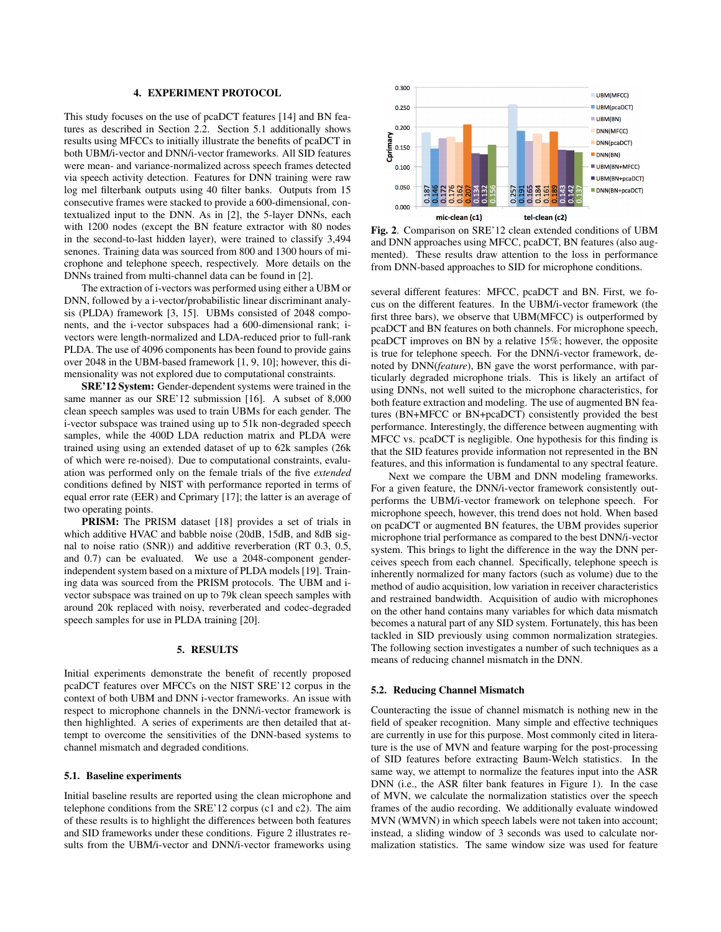#### 4. EXPERIMENT PROTOCOL

This study focuses on the use of pcaDCT features [14] and BN features as described in Section 2.2. Section 5.1 additionally shows results using MFCCs to initially illustrate the benefits of pcaDCT in both UBM/i-vector and DNN/i-vector frameworks. All SID features were mean- and variance-normalized across speech frames detected via speech activity detection. Features for DNN training were raw log mel filterbank outputs using 40 filter banks. Outputs from 15 consecutive frames were stacked to provide a 600-dimensional, contextualized input to the DNN. As in [2], the 5-layer DNNs, each with 1200 nodes (except the BN feature extractor with 80 nodes in the second-to-last hidden layer), were trained to classify 3,494 senones. Training data was sourced from 800 and 1300 hours of microphone and telephone speech, respectively. More details on the DNNs trained from multi-channel data can be found in [2].

The extraction of i-vectors was performed using either a UBM or DNN, followed by a i-vector/probabilistic linear discriminant analysis (PLDA) framework [3, 15]. UBMs consisted of 2048 components, and the i-vector subspaces had a 600-dimensional rank; ivectors were length-normalized and LDA-reduced prior to full-rank PLDA. The use of 4096 components has been found to provide gains over 2048 in the UBM-based framework [1, 9, 10]; however, this dimensionality was not explored due to computational constraints.

SRE'12 System: Gender-dependent systems were trained in the same manner as our SRE'12 submission [16]. A subset of 8,000 clean speech samples was used to train UBMs for each gender. The i-vector subspace was trained using up to 51k non-degraded speech samples, while the 400D LDA reduction matrix and PLDA were trained using using an extended dataset of up to 62k samples (26k of which were re-noised). Due to computational constraints, evaluation was performed only on the female trials of the five *extended* conditions defined by NIST with performance reported in terms of equal error rate (EER) and Cprimary [17]; the latter is an average of two operating points.

PRISM: The PRISM dataset [18] provides a set of trials in which additive HVAC and babble noise (20dB, 15dB, and 8dB signal to noise ratio (SNR)) and additive reverberation (RT 0.3, 0.5, and 0.7) can be evaluated. We use a 2048-component genderindependent system based on a mixture of PLDA models [19]. Training data was sourced from the PRISM protocols. The UBM and ivector subspace was trained on up to 79k clean speech samples with around 20k replaced with noisy, reverberated and codec-degraded speech samples for use in PLDA training [20].

#### 5. RESULTS

Initial experiments demonstrate the benefit of recently proposed pcaDCT features over MFCCs on the NIST SRE'12 corpus in the context of both UBM and DNN i-vector frameworks. An issue with respect to microphone channels in the DNN/i-vector framework is then highlighted. A series of experiments are then detailed that attempt to overcome the sensitivities of the DNN-based systems to channel mismatch and degraded conditions.

#### 5.1. Baseline experiments

Initial baseline results are reported using the clean microphone and telephone conditions from the SRE'12 corpus (c1 and c2). The aim of these results is to highlight the differences between both features and SID frameworks under these conditions. Figure 2 illustrates results from the UBM/i-vector and DNN/i-vector frameworks using



Fig. 2. Comparison on SRE'12 clean extended conditions of UBM and DNN approaches using MFCC, pcaDCT, BN features (also augmented). These results draw attention to the loss in performance from DNN-based approaches to SID for microphone conditions.

several different features: MFCC, pcaDCT and BN. First, we focus on the different features. In the UBM/i-vector framework (the first three bars), we observe that UBM(MFCC) is outperformed by pcaDCT and BN features on both channels. For microphone speech, pcaDCT improves on BN by a relative 15%; however, the opposite is true for telephone speech. For the DNN/i-vector framework, denoted by DNN(*feature*), BN gave the worst performance, with particularly degraded microphone trials. This is likely an artifact of using DNNs, not well suited to the microphone characteristics, for both feature extraction and modeling. The use of augmented BN features (BN+MFCC or BN+pcaDCT) consistently provided the best performance. Interestingly, the difference between augmenting with MFCC vs. pcaDCT is negligible. One hypothesis for this finding is that the SID features provide information not represented in the BN features, and this information is fundamental to any spectral feature.

Next we compare the UBM and DNN modeling frameworks. For a given feature, the DNN/i-vector framework consistently outperforms the UBM/i-vector framework on telephone speech. For microphone speech, however, this trend does not hold. When based on pcaDCT or augmented BN features, the UBM provides superior microphone trial performance as compared to the best DNN/i-vector system. This brings to light the difference in the way the DNN perceives speech from each channel. Specifically, telephone speech is inherently normalized for many factors (such as volume) due to the method of audio acquisition, low variation in receiver characteristics and restrained bandwidth. Acquisition of audio with microphones on the other hand contains many variables for which data mismatch becomes a natural part of any SID system. Fortunately, this has been tackled in SID previously using common normalization strategies. The following section investigates a number of such techniques as a means of reducing channel mismatch in the DNN.

#### 5.2. Reducing Channel Mismatch

Counteracting the issue of channel mismatch is nothing new in the field of speaker recognition. Many simple and effective techniques are currently in use for this purpose. Most commonly cited in literature is the use of MVN and feature warping for the post-processing of SID features before extracting Baum-Welch statistics. In the same way, we attempt to normalize the features input into the ASR DNN (i.e., the ASR filter bank features in Figure 1). In the case of MVN, we calculate the normalization statistics over the speech frames of the audio recording. We additionally evaluate windowed MVN (WMVN) in which speech labels were not taken into account; instead, a sliding window of 3 seconds was used to calculate normalization statistics. The same window size was used for feature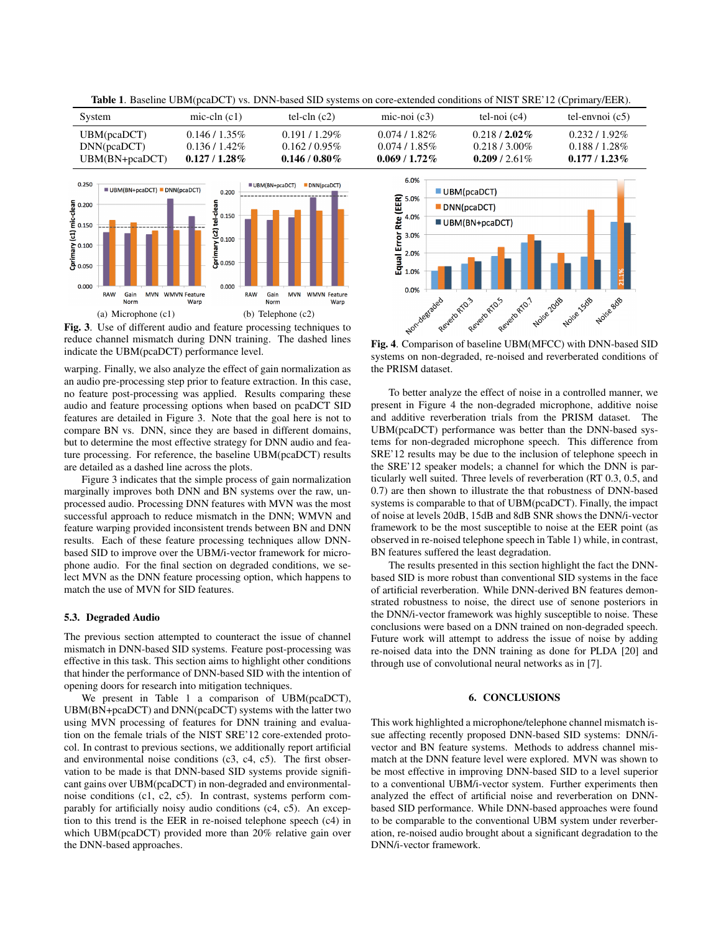| System         | mic-cln $(c1)$ | tel-cln $(c2)$ | mic-noi $(c3)$ | tel-noi $(c4)$ | tel-envnoi $(c5)$ |
|----------------|----------------|----------------|----------------|----------------|-------------------|
| UBM(pcaDCT)    | $0.146/1.35\%$ | $0.191/1.29\%$ | $0.074/1.82\%$ | $0.218/2.02\%$ | $0.232/1.92\%$    |
| DNN(pcaDCT)    | $0.136/1.42\%$ | $0.162/0.95\%$ | $0.074/1.85\%$ | $0.218/3.00\%$ | $0.188/1.28\%$    |
| UBM(BN+pcaDCT) | $0.127/1.28\%$ | $0.146/0.80\%$ | $0.069/1.72\%$ | 0.209 / 2.61\% | $0.177/1.23\%$    |

Table 1. Baseline UBM(pcaDCT) vs. DNN-based SID systems on core-extended conditions of NIST SRE'12 (Cprimary/EER).



Fig. 3. Use of different audio and feature processing techniques to reduce channel mismatch during DNN training. The dashed lines indicate the UBM(pcaDCT) performance level.

warping. Finally, we also analyze the effect of gain normalization as an audio pre-processing step prior to feature extraction. In this case, no feature post-processing was applied. Results comparing these audio and feature processing options when based on pcaDCT SID features are detailed in Figure 3. Note that the goal here is not to compare BN vs. DNN, since they are based in different domains, but to determine the most effective strategy for DNN audio and feature processing. For reference, the baseline UBM(pcaDCT) results are detailed as a dashed line across the plots.

Figure 3 indicates that the simple process of gain normalization marginally improves both DNN and BN systems over the raw, unprocessed audio. Processing DNN features with MVN was the most successful approach to reduce mismatch in the DNN; WMVN and feature warping provided inconsistent trends between BN and DNN results. Each of these feature processing techniques allow DNNbased SID to improve over the UBM/i-vector framework for microphone audio. For the final section on degraded conditions, we select MVN as the DNN feature processing option, which happens to match the use of MVN for SID features.

### 5.3. Degraded Audio

The previous section attempted to counteract the issue of channel mismatch in DNN-based SID systems. Feature post-processing was effective in this task. This section aims to highlight other conditions that hinder the performance of DNN-based SID with the intention of opening doors for research into mitigation techniques.

We present in Table 1 a comparison of UBM(pcaDCT), UBM(BN+pcaDCT) and DNN(pcaDCT) systems with the latter two using MVN processing of features for DNN training and evaluation on the female trials of the NIST SRE'12 core-extended protocol. In contrast to previous sections, we additionally report artificial and environmental noise conditions (c3, c4, c5). The first observation to be made is that DNN-based SID systems provide significant gains over UBM(pcaDCT) in non-degraded and environmentalnoise conditions (c1, c2, c5). In contrast, systems perform comparably for artificially noisy audio conditions (c4, c5). An exception to this trend is the EER in re-noised telephone speech (c4) in which UBM(pcaDCT) provided more than 20% relative gain over the DNN-based approaches.



systems on non-degraded, re-noised and reverberated conditions of the PRISM dataset.

To better analyze the effect of noise in a controlled manner, we present in Figure 4 the non-degraded microphone, additive noise and additive reverberation trials from the PRISM dataset. The UBM(pcaDCT) performance was better than the DNN-based systems for non-degraded microphone speech. This difference from SRE'12 results may be due to the inclusion of telephone speech in the SRE'12 speaker models; a channel for which the DNN is particularly well suited. Three levels of reverberation (RT 0.3, 0.5, and 0.7) are then shown to illustrate the that robustness of DNN-based systems is comparable to that of UBM(pcaDCT). Finally, the impact of noise at levels 20dB, 15dB and 8dB SNR shows the DNN/i-vector framework to be the most susceptible to noise at the EER point (as observed in re-noised telephone speech in Table 1) while, in contrast, BN features suffered the least degradation.

The results presented in this section highlight the fact the DNNbased SID is more robust than conventional SID systems in the face of artificial reverberation. While DNN-derived BN features demonstrated robustness to noise, the direct use of senone posteriors in the DNN/i-vector framework was highly susceptible to noise. These conclusions were based on a DNN trained on non-degraded speech. Future work will attempt to address the issue of noise by adding re-noised data into the DNN training as done for PLDA [20] and through use of convolutional neural networks as in [7].

# 6. CONCLUSIONS

This work highlighted a microphone/telephone channel mismatch issue affecting recently proposed DNN-based SID systems: DNN/ivector and BN feature systems. Methods to address channel mismatch at the DNN feature level were explored. MVN was shown to be most effective in improving DNN-based SID to a level superior to a conventional UBM/i-vector system. Further experiments then analyzed the effect of artificial noise and reverberation on DNNbased SID performance. While DNN-based approaches were found to be comparable to the conventional UBM system under reverberation, re-noised audio brought about a significant degradation to the DNN/i-vector framework.